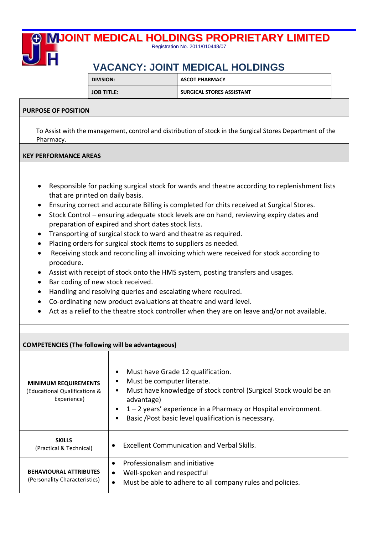## **JOINT MEDICAL HOLDINGS PROPRIETARY LIMITED** Registration No. 2011/010448/07

# **VACANCY: JOINT MEDICAL HOLDINGS**

| DIVISION:         | <b>ASCOT PHARMACY</b>     |
|-------------------|---------------------------|
| <b>JOB TITLE:</b> | SURGICAL STORES ASSISTANT |

## **PURPOSE OF POSITION**

 To Assist with the management, control and distribution of stock in the Surgical Stores Department of the Pharmacy.

### **KEY PERFORMANCE AREAS**

- Responsible for packing surgical stock for wards and theatre according to replenishment lists that are printed on daily basis.
- Ensuring correct and accurate Billing is completed for chits received at Surgical Stores.
- Stock Control ensuring adequate stock levels are on hand, reviewing expiry dates and preparation of expired and short dates stock lists.
- Transporting of surgical stock to ward and theatre as required.
- Placing orders for surgical stock items to suppliers as needed.
- Receiving stock and reconciling all invoicing which were received for stock according to procedure.
- Assist with receipt of stock onto the HMS system, posting transfers and usages.
- Bar coding of new stock received.
- Handling and resolving queries and escalating where required.
- Co-ordinating new product evaluations at theatre and ward level.
- Act as a relief to the theatre stock controller when they are on leave and/or not available.

| <b>COMPETENCIES (The following will be advantageous)</b>                    |                                                                                                                                                                                                                                                                          |  |  |
|-----------------------------------------------------------------------------|--------------------------------------------------------------------------------------------------------------------------------------------------------------------------------------------------------------------------------------------------------------------------|--|--|
| <b>MINIMUM REQUIREMENTS</b><br>(Educational Qualifications &<br>Experience) | Must have Grade 12 qualification.<br>Must be computer literate.<br>Must have knowledge of stock control (Surgical Stock would be an<br>advantage)<br>1-2 years' experience in a Pharmacy or Hospital environment.<br>Basic /Post basic level qualification is necessary. |  |  |
| <b>SKILLS</b><br>(Practical & Technical)                                    | <b>Excellent Communication and Verbal Skills.</b><br>$\bullet$                                                                                                                                                                                                           |  |  |
| <b>BEHAVIOURAL ATTRIBUTES</b><br>(Personality Characteristics)              | Professionalism and initiative<br>$\bullet$<br>Well-spoken and respectful<br>$\bullet$<br>Must be able to adhere to all company rules and policies.<br>$\bullet$                                                                                                         |  |  |